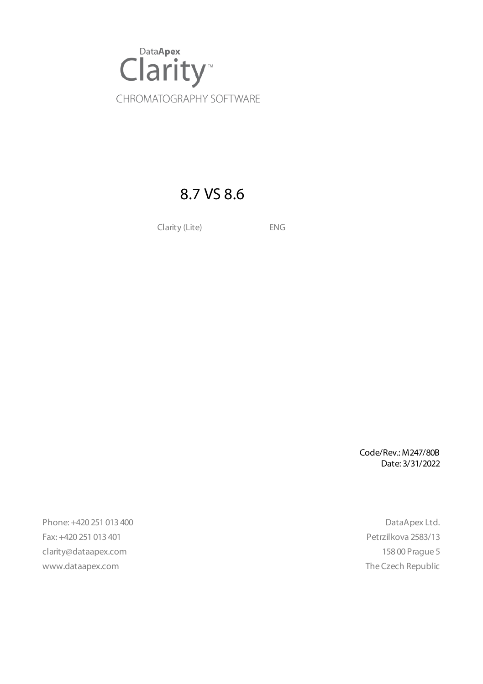

# 8.7 VS 8.6

Clarity (Lite) ENG

Code/Rev.: M247/80B Date: 3/31/2022

Phone: +420 251 013 400 DataApex Ltd. Fax: +420 251 013 401 Petrzilkova 2583/13 clarity@dataapex.com 158 00 Prague 5 www.dataapex.com **The Czech Republic** Republic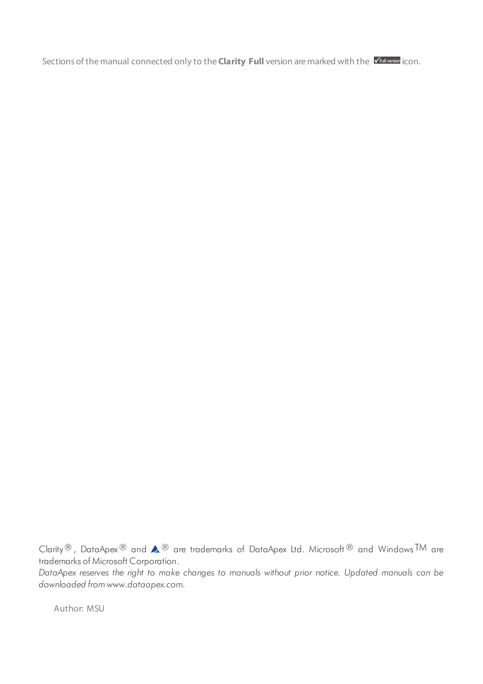Sections of the manual connected only to the **Clarity Full** version are marked with the *VEUI Wession* icon.

Clarity®, DataApex® and  $\triangle$ <sup>®</sup> are trademarks of DataApex Ltd. Microsoft® and Windows TM are trademarks of Microsoft Corporation.

*DataApex reserves the right to make changes to manuals without prior notice. Updated manuals can be downloaded from www.dataapex.com.*

Author: MSU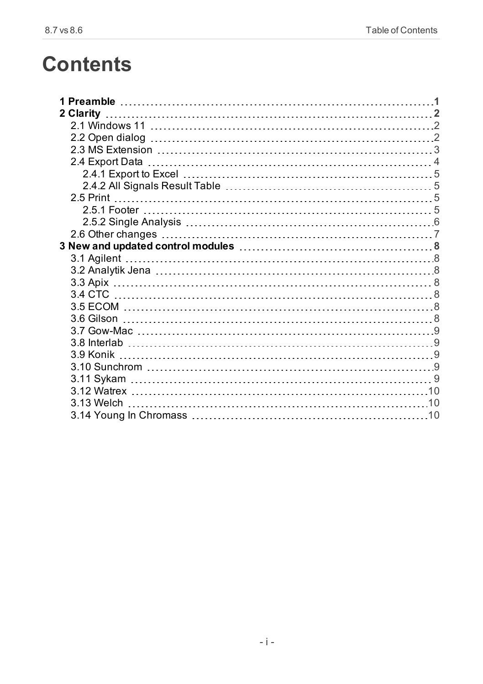# **Contents**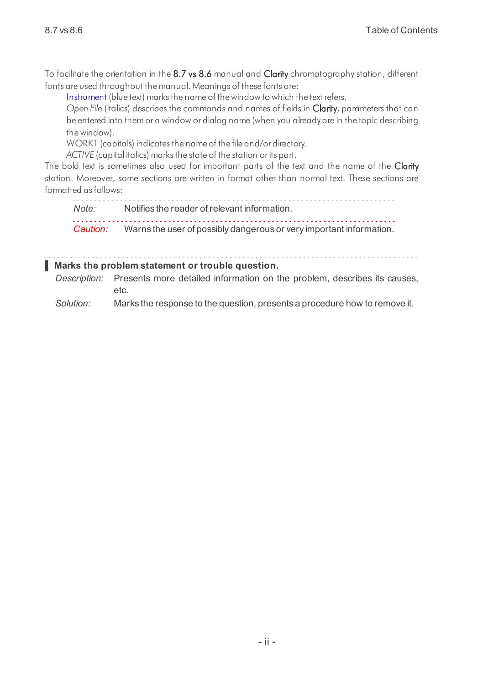To facilitate the orientation in the 8.7 vs 8.6 manual and Clarity chromatography station, different fonts are used throughout the manual. Meanings of these fonts are:

[Instrument](ms-its:Clarity.chm::/Help/020-instrument/020.000-instrument/020-instrument.htm) (blue text) marks the name of the window to which the text refers.

*Open File* (italics) describes the commands and names of fields in Clarity, parameters that can be entered into them or a window or dialog name (when you already are in the topic describing thewindow).

WORK1 (capitals) indicates the name of the file and/or directory.

*ACTIVE* (capital italics) marks the state of the station or its part.

The bold text is sometimes also used for important parts of the text and the name of the Clarity station. Moreover, some sections are written in format other than normal text. These sections are formatted asfollows:

*Note:* Notifies the reader of relevant information. *Caution:* Warns the user of possibly dangerous or very important information.

#### **▌ Marks the problem statement or trouble question.**

*Description:* Presents more detailed information on the problem, describes its causes, etc.

*Solution:* Marks the response to the question, presents a procedure how to remove it.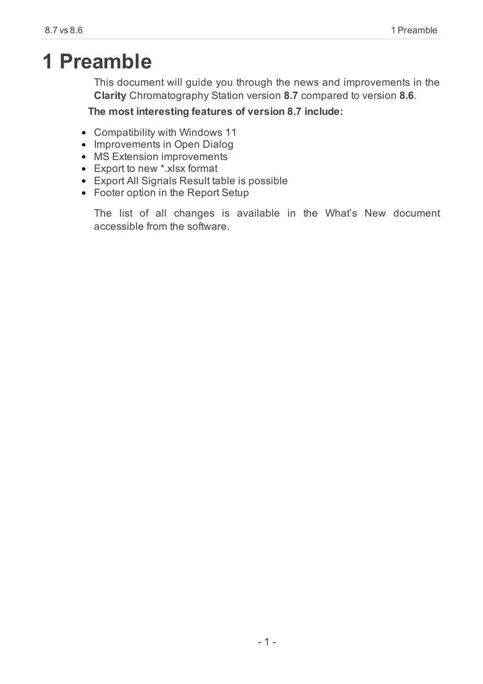# <span id="page-4-0"></span>**1 Preamble**

This document will guide you through the news and improvements in the **Clarity** Chromatography Station version **8.7** compared to version **8.6**.

### **The most interesting features of version 8.7 include:**

- Compatibility with Windows 11
- Improvements in Open Dialog
- MS Extension improvements
- Export to new \*.xlsx format
- Export All Signals Result table is possible
- Footer option in the Report Setup

The list of all changes is available in the What's New document accessible from the software.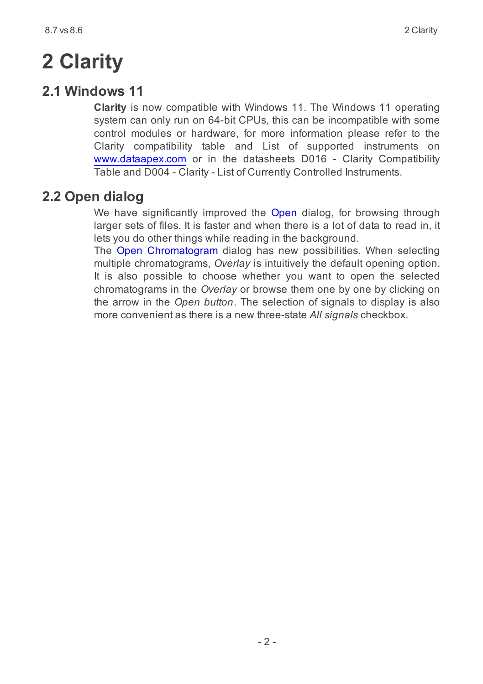# <span id="page-5-0"></span>**2 Clarity**

## <span id="page-5-1"></span>**2.1 Windows 11**

**Clarity** is now compatible with Windows 11. The Windows 11 operating system can only run on 64-bit CPUs, this can be incompatible with some control modules or hardware, for more information please refer to the Clarity compatibility table and List of supported instruments on [www.dataapex.com](https://dataapex.com/) or in the datasheets D016 - Clarity Compatibility Table and D004 - Clarity - List of Currently Controlled Instruments.

## <span id="page-5-2"></span>**2.2 Open dialog**

We have significantly improved the Open dialog, for browsing through larger sets of files. It is faster and when there is a lot of data to read in, it lets you do other things while reading in the background.

The Open Chromatogram dialog has new possibilities. When selecting multiple chromatograms, *Overlay* is intuitively the default opening option. It is also possible to choose whether you want to open the selected chromatograms in the *Overlay* or browse them one by one by clicking on the arrow in the *Open button*. The selection of signals to display is also more convenient as there is a new three-state *All signals* checkbox.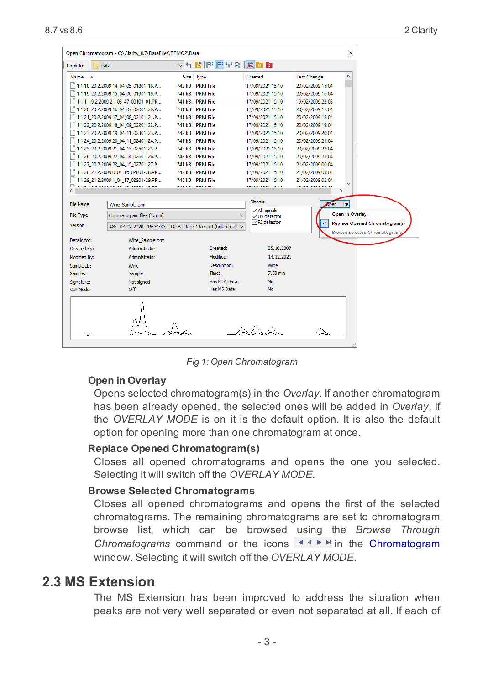| $\times$<br>Open Chromatogram - C:\Clarity 8.7\DataFiles\DEMO2\Data |                                                                                                                  |                |                                   |                                               |                                         |                                |                               |
|---------------------------------------------------------------------|------------------------------------------------------------------------------------------------------------------|----------------|-----------------------------------|-----------------------------------------------|-----------------------------------------|--------------------------------|-------------------------------|
| Look In:                                                            | Data                                                                                                             |                |                                   |                                               |                                         |                                |                               |
| <b>Name</b>                                                         |                                                                                                                  |                | Size Type                         | Created                                       | <b>Last Change</b>                      | Α                              |                               |
|                                                                     | 11 18 20.2.2009 14 04 05 01801-18.P                                                                              | 742 kB         | <b>PRM File</b>                   | 17/09/2021 15:10                              | 20/02/2009 15:04                        |                                |                               |
|                                                                     | 1119 20.2.2009 15 04 06 01901-19.P                                                                               | 741 kB         | <b>PRM File</b>                   | 17/09/2021 15:10                              | 20/02/2009 16:04                        |                                |                               |
|                                                                     | 111_19.2.2009 21_03_47_00101-01.PR                                                                               |                | 741 kB PRM File                   | 17/09/2021 15:10                              | 19/02/2009 22:03                        |                                |                               |
|                                                                     | 1120 20.2.2009 16 04 07 02001-20.P                                                                               |                | 741 kB PRM File                   | 17/09/2021 15:10                              | 20/02/2009 17:04                        |                                |                               |
|                                                                     | 1121 20.2.2009 17 04 08 02101-21.P                                                                               |                | 741 kB PRM File                   | 17/09/2021 15:10                              | 20/02/2009 18:04                        |                                |                               |
|                                                                     | 1122 20.2.2009 18 04 09 02201-22.P                                                                               | 741 kB         | <b>PRM File</b>                   | 17/09/2021 15:10                              | 20/02/2009 19:04                        |                                |                               |
|                                                                     | 1123_20.2.2009 19_04_11_02301-23.P                                                                               |                | 742 kB PRM File                   | 17/09/2021 15:10                              | 20/02/2009 20:04                        |                                |                               |
|                                                                     | 1124 20.2.2009 20 04 11 02401-24.P                                                                               |                | 741 kB PRM File                   | 17/09/2021 15:10                              | 20/02/2009 21:04                        |                                |                               |
|                                                                     | 1125 20.2.2009 21 04 13 02501-25.P                                                                               |                | 742 kB PRM File                   | 17/09/2021 15:10                              | 20/02/2009 22:04                        |                                |                               |
|                                                                     | 1126 20.2.2009 22 04 14 02601-26.P                                                                               | 743 kB         | <b>PRM File</b>                   | 17/09/2021 15:10                              | 20/02/2009 23:04                        |                                |                               |
|                                                                     | 1127_20.2.2009 23_04_15_02701-27.P                                                                               |                | 741 kB PRM File                   | 17/09/2021 15:10                              | 21/02/2009 00:04                        |                                |                               |
|                                                                     | 1128 21.2.2009 0 04 16 02801-28.PR                                                                               |                | 742 kB PRM File                   | 17/09/2021 15:10                              | 21/02/2009 01:04                        |                                |                               |
|                                                                     | 1129 21.2.2009 1 04 17 02901-29.PR<br>LED TO POOP OF CO. CO. CO. CO. CO. C. L. L.                                | <b>TAN LIN</b> | 745 kB PRM File<br><b>NNKA PH</b> | 17/09/2021 15:10<br><b>IT INN INNNA AF AN</b> | 21/02/2009 02:04<br>to indication on on | v                              |                               |
| ∢                                                                   |                                                                                                                  |                |                                   |                                               |                                         | $\rightarrow$                  |                               |
| <b>File Name</b>                                                    | Wine_Sample.prm                                                                                                  |                |                                   | Signals:                                      | ben                                     | $\blacksquare$                 |                               |
| <b>File Type</b>                                                    | Chromatogram files (*.prm)<br>$\checkmark$<br>#8: 04.02.2020 16:34:33, IA: 8.0 Rev. 1 Recent (Linked Cali $\vee$ |                |                                   | All signals<br><b>VIV</b> detector            |                                         | Open in Overlay                |                               |
| Version                                                             |                                                                                                                  |                |                                   | RI detector                                   | Ŷ.                                      | Replace Opened Chromatogram(s) |                               |
| Details for:                                                        | Wine Sample.prm                                                                                                  |                |                                   |                                               |                                         |                                | Browse Selected Chromatograms |
| <b>Created By:</b>                                                  | Administrator                                                                                                    |                | Created:                          | 05.10.2007                                    |                                         |                                |                               |
| Modified By:                                                        | Administrator                                                                                                    |                | Modified:                         | 14.12.2021                                    |                                         |                                |                               |
| Sample ID:                                                          | Wine                                                                                                             |                | Description:                      | Wine                                          |                                         |                                |                               |
| Sample:                                                             | Time:<br>Sample                                                                                                  |                |                                   | 7.50 min                                      |                                         |                                |                               |
| Signature:                                                          | Not signed                                                                                                       |                | Has PDA Data:                     | No                                            |                                         |                                |                               |
| <b>GLP Mode:</b>                                                    | Off                                                                                                              |                | Has MS Data:                      | No                                            |                                         |                                |                               |
|                                                                     |                                                                                                                  |                |                                   |                                               |                                         |                                |                               |

*Fig 1: Open Chromatogram*

#### **Open in Overlay**

Opens selected chromatogram(s) in the *Overlay*. If another chromatogram has been already opened, the selected ones will be added in *Overlay*. If the *OVERLAY MODE* is on it is the default option. It is also the default option for opening more than one chromatogram at once.

#### **Replace Opened Chromatogram(s)**

Closes all opened chromatograms and opens the one you selected. Selecting it will switch off the *OVERLAY MODE*.

#### **Browse Selected Chromatograms**

Closes all opened chromatograms and opens the first of the selected chromatograms. The remaining chromatograms are set to chromatogram browse list, which can be browsed using the *Browse Through Chromatograms* command or the icons **EX ADD** in the Chromatogram window. Selecting it will switch off the *OVERLAY MODE*.

## <span id="page-6-0"></span>**2.3 MS Extension**

The MS Extension has been improved to address the situation when peaks are not very well separated or even not separated at all. If each of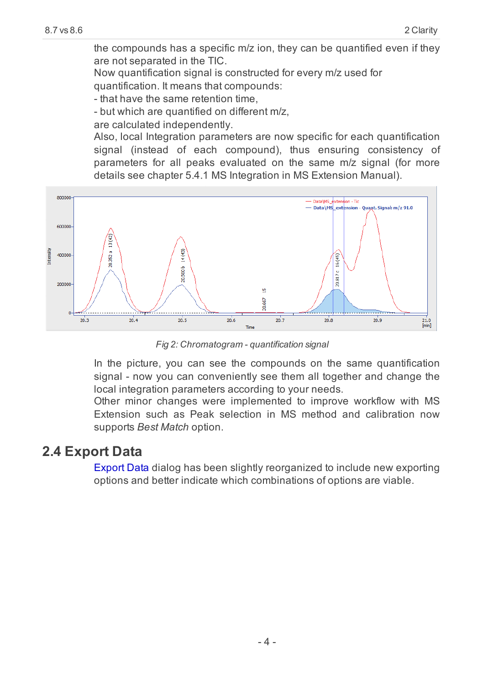the compounds has a specific m/z ion, they can be quantified even if they are not separated in the TIC.

Now quantification signal is constructed for every m/z used for

quantification. It means that compounds:

- that have the same retention time,

- but which are quantified on different m/z,

are calculated independently.

Also, local Integration parameters are now specific for each quantification signal (instead of each compound), thus ensuring consistency of parameters for all peaks evaluated on the same m/z signal (for more details see chapter 5.4.1 MS Integration in MS Extension Manual).



*Fig 2: Chromatogram - quantification signal*

In the picture, you can see the compounds on the same quantification signal - now you can conveniently see them all together and change the local integration parameters according to your needs.

Other minor changes were implemented to improve workflow with MS Extension such as Peak selection in MS method and calibration now supports *Best Match* option.

## <span id="page-7-0"></span>**2.4 Export Data**

Export Data dialog has been slightly reorganized to include new exporting options and better indicate which combinations of options are viable.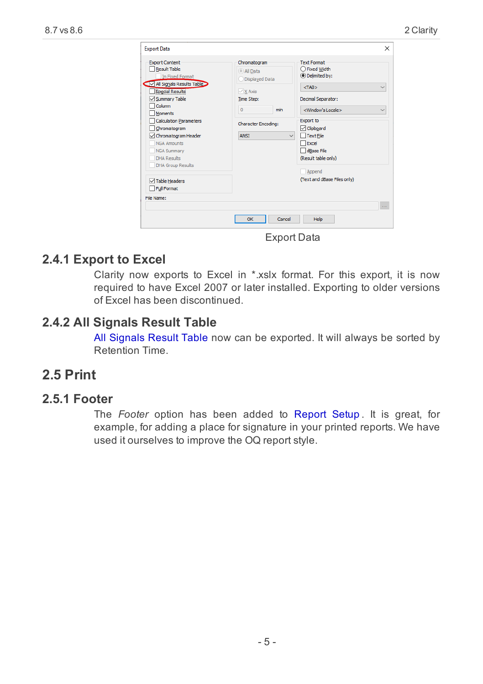| Column<br>$\mathbf{0}$<br>min<br><b>Moments</b><br><b>Calculation Parameters</b><br><b>Character Encoding:</b><br>Chromatogram<br>Chromatogram Header<br><b>ANSI</b><br>✓<br><b>NGA Amounts</b><br><b>NGA Summary</b><br><b>DHA Results</b><br><b>DHA Group Results</b><br><b>√Table Headers</b><br>Full Format<br>File Name: | Decimal Separator:<br><window's locale=""><br/><math>\checkmark</math><br/><b>Export to</b><br/><b>□</b> Clipboard<br/><math>\Box</math> Text File<br/><math display="inline">\checkmark</math><br/>Excel<br/>dBase File<br/>(Result table only)<br/>Append<br/>(Text and dBase Files only)</window's> |
|-------------------------------------------------------------------------------------------------------------------------------------------------------------------------------------------------------------------------------------------------------------------------------------------------------------------------------|--------------------------------------------------------------------------------------------------------------------------------------------------------------------------------------------------------------------------------------------------------------------------------------------------------|
|-------------------------------------------------------------------------------------------------------------------------------------------------------------------------------------------------------------------------------------------------------------------------------------------------------------------------------|--------------------------------------------------------------------------------------------------------------------------------------------------------------------------------------------------------------------------------------------------------------------------------------------------------|

Export Data

### <span id="page-8-0"></span>**2.4.1 Export to Excel**

Clarity now exports to Excel in \*.xslx format. For this export, it is now required to have Excel 2007 or later installed. Exporting to older versions of Excel has been discontinued.

## <span id="page-8-1"></span>**2.4.2 All Signals Result Table**

All Signals Result Table now can be exported. It will always be sorted by Retention Time.

## <span id="page-8-3"></span><span id="page-8-2"></span>**2.5 Print**

### **2.5.1 Footer**

The *Footer* option has been added to Report Setup . It is great, for example, for adding a place for signature in your printed reports. We have used it ourselves to improve the OQ report style.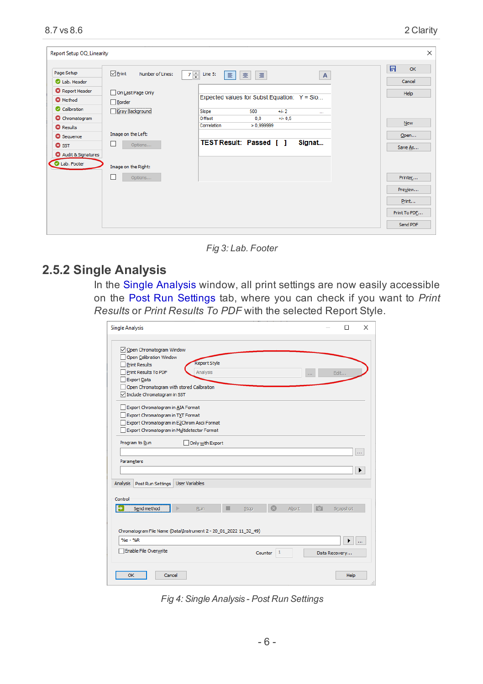|                                 |                                    |                                       |                                                |          |             | 日<br>OK      |
|---------------------------------|------------------------------------|---------------------------------------|------------------------------------------------|----------|-------------|--------------|
| Page Setup                      | $\nabla$ Print<br>Number of Lines: | $7 -$<br>Line 5:<br>$\vert$ = $\vert$ | 畫<br>星                                         |          | $\mathsf A$ |              |
| Lab. Header                     |                                    |                                       |                                                |          |             | Cancel       |
| <b>O</b> Report Header          | On Last Page Only                  |                                       |                                                |          |             | Help         |
| <b>Q</b> Method                 | Border                             |                                       | Expected values for Subst. Equation: $Y =$ Slo |          |             |              |
| Calibration                     | Gray Background                    | Slope                                 | 500                                            | $+1-2$   | $\sim$      |              |
| <b>O</b> Chromatogram           |                                    | Offset                                | 0.0                                            | $+/-0.5$ |             |              |
| <b>Q</b> Results                |                                    | Correlation                           | > 0.9999999                                    |          |             | <b>New</b>   |
| <b>@</b> Sequence               | Image on the Left:                 |                                       |                                                |          |             | Open         |
| <b>O</b> SST                    | Options                            |                                       | <b>TEST Result: Passed</b> [ ]                 |          | Signat      | Save As      |
| <sup>3</sup> Audit & Signatures |                                    |                                       |                                                |          |             |              |
| Lab. Footer                     | Image on the Right:                |                                       |                                                |          |             |              |
|                                 | Options                            |                                       |                                                |          |             | Printer      |
|                                 |                                    |                                       |                                                |          |             | Preview      |
|                                 |                                    |                                       |                                                |          |             | Print        |
|                                 |                                    |                                       |                                                |          |             | Print To PDF |
|                                 |                                    |                                       |                                                |          |             | Send PDF     |

*Fig 3: Lab. Footer*

### <span id="page-9-0"></span>**2.5.2 Single Analysis**

In the Single Analysis window, all print settings are now easily accessible on the Post Run Settings tab, where you can check if you want to *Print Results* or *Print Results To PDF* with the selected Report Style.

| <b>Single Analysis</b>                                                                                                                                                                         |                                 |         |              |       |   | п                  | $\times$      |
|------------------------------------------------------------------------------------------------------------------------------------------------------------------------------------------------|---------------------------------|---------|--------------|-------|---|--------------------|---------------|
| Open Chromatogram Window<br>Open Calibration Window<br><b>Print Results</b><br>Print Results To PDF<br>Export Data<br>Open Chromatogram with stored Calibration<br>Include Chromatogram in SST | <b>Report Style</b><br>Analysis |         |              | in a  |   | Edit               |               |
| Export Chromatogram in AIA Format<br>Export Chromatogram in TXT Format<br>Export Chromatogram in EZChrom Ascii Format<br>Export Chromatogram in Multidetector Format<br>Program to Run         | Only with Export                |         |              |       |   |                    |               |
| Parameters<br>Analysis<br><b>Post Run Settings</b>                                                                                                                                             | <b>User Variables</b>           |         |              |       |   |                    | $\cdots$<br>٠ |
| Control<br>Send method                                                                                                                                                                         | Run                             | Stop    |              | Abort | 颌 | Snapshot           |               |
| Chromatogram File Name (Data\Instrument 2 - 20 01 2022 11 32 49)<br>$% = %$<br>Enable File Overwrite                                                                                           |                                 | Counter | $\mathbf{1}$ |       |   | ▶<br>Data Recovery | $\mathbf{1}$  |
| OK<br>Cancel                                                                                                                                                                                   |                                 |         |              |       |   | Help               | ä.            |

*Fig 4: Single Analysis - Post Run Settings*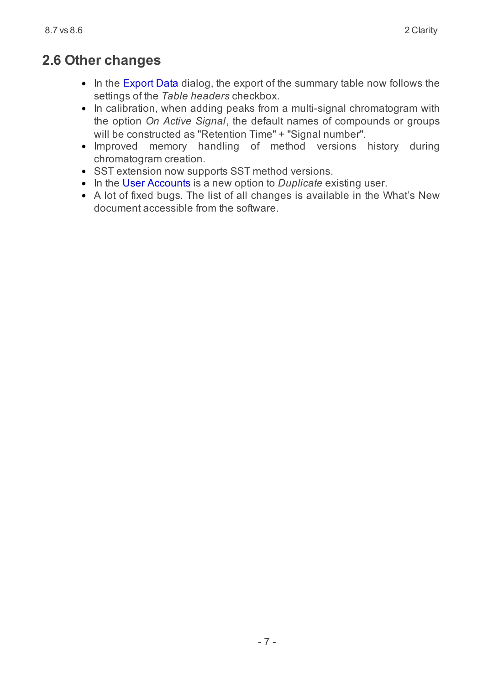## <span id="page-10-0"></span>**2.6 Other changes**

- In the Export Data dialog, the export of the summary table now follows the settings of the *Table headers* checkbox.
- In calibration, when adding peaks from a multi-signal chromatogram with the option *On Active Signal*, the default names of compounds or groups will be constructed as "Retention Time" + "Signal number".
- Improved memory handling of method versions history during chromatogram creation.
- SST extension now supports SST method versions.
- In the User Accounts is a new option to *Duplicate* existing user.
- A lot of fixed bugs. The list of all changes is available in the What's New document accessible from the software.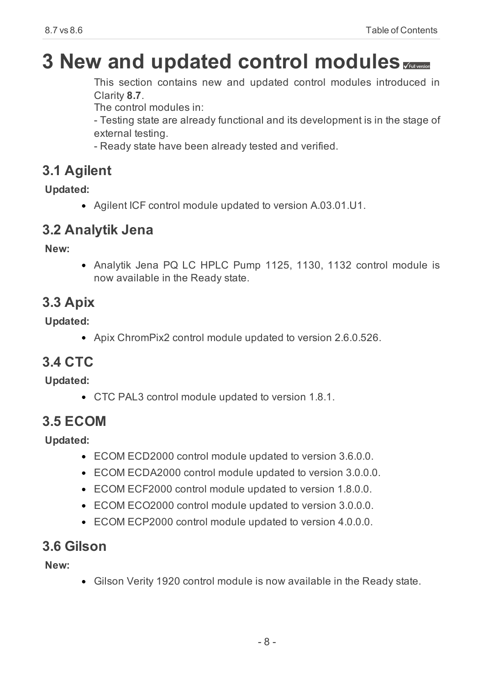# <span id="page-11-0"></span>**3 New and updated control modules**

This section contains new and updated control modules introduced in Clarity **8.7**.

The control modules in:

- Testing state are already functional and its development is in the stage of external testing.

- Ready state have been already tested and verified.

## <span id="page-11-1"></span>**3.1 Agilent**

**Updated:**

Agilent ICF control module updated to version A.03.01.U1.

## <span id="page-11-2"></span>**3.2 Analytik Jena**

**New:**

• Analytik Jena PQ LC HPLC Pump 1125, 1130, 1132 control module is now available in the Ready state.

## <span id="page-11-3"></span>**3.3 Apix**

**Updated:**

Apix ChromPix2 control module updated to version 2.6.0.526.

## <span id="page-11-4"></span>**3.4 CTC**

**Updated:**

CTC PAL3 control module updated to version 1.8.1.

## <span id="page-11-5"></span>**3.5 ECOM**

**Updated:**

- ECOM ECD2000 control module updated to version 3.6.0.0.
- ECOM ECDA2000 control module updated to version 3.0.0.0.
- ECOM ECF2000 control module updated to version 1.8.0.0.
- ECOM ECO2000 control module updated to version 3.0.0.0.
- ECOM ECP2000 control module updated to version 4.0.0.0.

## <span id="page-11-6"></span>**3.6 Gilson**

**New:**

Gilson Verity 1920 control module is now available in the Ready state.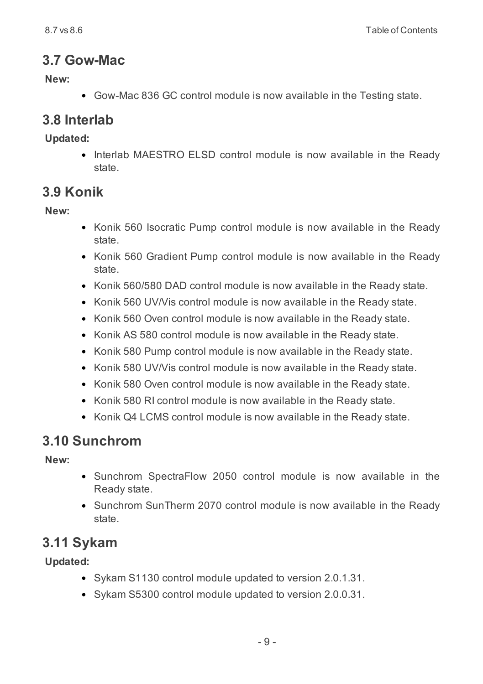## <span id="page-12-0"></span>**3.7 Gow-Mac**

**New:**

Gow-Mac 836 GC control module is now available in the Testing state.

## <span id="page-12-1"></span>**3.8 Interlab**

**Updated:**

Interlab MAESTRO ELSD control module is now available in the Ready state.

## <span id="page-12-2"></span>**3.9 Konik**

**New:**

- Konik 560 Isocratic Pump control module is now available in the Ready state.
- Konik 560 Gradient Pump control module is now available in the Ready state.
- Konik 560/580 DAD control module is now available in the Ready state.
- Konik 560 UV/Vis control module is now available in the Ready state.
- Konik 560 Oven control module is now available in the Ready state.
- Konik AS 580 control module is now available in the Ready state.
- Konik 580 Pump control module is now available in the Ready state.
- Konik 580 UV/Vis control module is now available in the Ready state.
- Konik 580 Oven control module is now available in the Ready state.
- Konik 580 RI control module is now available in the Ready state.
- Konik Q4 LCMS control module is now available in the Ready state.

## <span id="page-12-3"></span>**3.10 Sunchrom**

**New:**

- Sunchrom SpectraFlow 2050 control module is now available in the Ready state.
- Sunchrom SunTherm 2070 control module is now available in the Ready state.

## <span id="page-12-4"></span>**3.11 Sykam**

**Updated:**

- Sykam S1130 control module updated to version 2.0.1.31.
- Sykam S5300 control module updated to version 2.0.0.31.